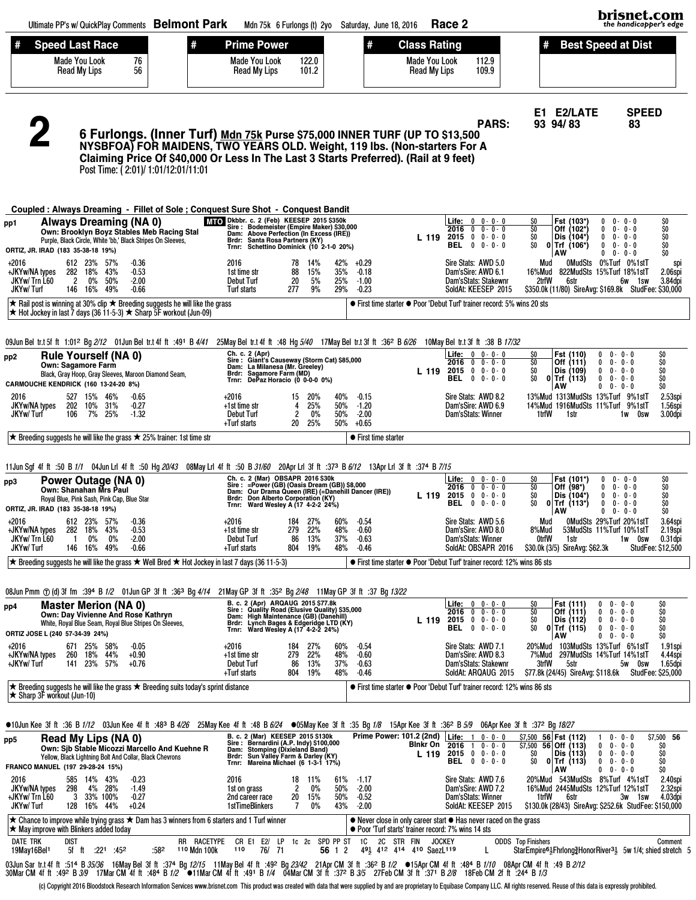| Ultimate PP's w/ QuickPlay Comments Belmont Park                                                                                                                                                                                                                                                                                                                                                                                                                                                                  | Mdn 75k 6 Furlongs (t) 2yo Saturday, June 18, 2016                                                                                                                                                                                                                |                                                                                                                          | Race 2                                                                                                                                                                              | brisnet.com<br>the handicapper's edge                                                                                                                                                                                |                                                                                                                                                                 |  |  |  |  |  |
|-------------------------------------------------------------------------------------------------------------------------------------------------------------------------------------------------------------------------------------------------------------------------------------------------------------------------------------------------------------------------------------------------------------------------------------------------------------------------------------------------------------------|-------------------------------------------------------------------------------------------------------------------------------------------------------------------------------------------------------------------------------------------------------------------|--------------------------------------------------------------------------------------------------------------------------|-------------------------------------------------------------------------------------------------------------------------------------------------------------------------------------|----------------------------------------------------------------------------------------------------------------------------------------------------------------------------------------------------------------------|-----------------------------------------------------------------------------------------------------------------------------------------------------------------|--|--|--|--|--|
| <b>Speed Last Race</b><br>#<br>Made You Look<br>76<br>56<br>Read My Lips                                                                                                                                                                                                                                                                                                                                                                                                                                          | <b>Prime Power</b><br><b>Made You Look</b><br>122.0<br>Read My Lips<br>101.2                                                                                                                                                                                      | <b>Class Rating</b><br>#<br><b>Made You Look</b><br><b>Read My Lips</b>                                                  | 112.9<br>109.9                                                                                                                                                                      | <b>Best Speed at Dist</b>                                                                                                                                                                                            |                                                                                                                                                                 |  |  |  |  |  |
| 6 Furlongs. (Inner Turf) Mdn 75k Purse \$75,000 INNER TURF (UP TO \$13,500<br>NYSBFOA) FOR MAIDENS, TWO YEARS OLD. Weight, 119 lbs. (Non-starters For A<br>Claiming Price Of \$40,000 Or Less In The Last 3 Starts Preferred). (Rail at 9 feet)<br>Post Time: (2:01)/ 1:01/12:01/11:01                                                                                                                                                                                                                            |                                                                                                                                                                                                                                                                   |                                                                                                                          | <b>PARS:</b>                                                                                                                                                                        | E1 E2/LATE<br>93 94/83                                                                                                                                                                                               | <b>SPEED</b><br>83                                                                                                                                              |  |  |  |  |  |
| Coupled: Always Dreaming - Fillet of Sole; Conquest Sure Shot - Conquest Bandit                                                                                                                                                                                                                                                                                                                                                                                                                                   |                                                                                                                                                                                                                                                                   |                                                                                                                          |                                                                                                                                                                                     |                                                                                                                                                                                                                      |                                                                                                                                                                 |  |  |  |  |  |
| <b>Always Dreaming (NA 0)</b><br>pp1<br>Own: Brooklyn Boyz Stables Meb Racing Stal<br>Purple, Black Circle, White 'bb,' Black Stripes On Sleeves,<br>ORTIZ, JR. IRAD (183 35-38-18 19%)                                                                                                                                                                                                                                                                                                                           | MIO Dkbbr. c. 2 (Feb) KEESEP 2015 \$350k<br>Sire: Bodemeister (Empire Maker) \$30,000<br>Dam: Above Perfection (In Excess (IRE))<br>Brdr: Santa Rosa Partners (KY)<br>Trnr: Schettino Dominick (10 2-1-0 20%)                                                     |                                                                                                                          | <b>Life:</b> $0 \t 0 \t 0 \t 0 \t 0$<br>$2016$ 0 0 - 0 - 0<br>L 119 2015 0 0 - 0 - 0<br><b>BEL</b> 0 0-0-0                                                                          | Ş0<br>Fst (103*)<br>$\mathbf{0}$<br>$\overline{50}$<br>Off (102*)<br>0<br>SO<br>Dis (104*)<br>0<br>SO.<br>$0$ Trf (106*)<br>$\mathbf{0}$<br>AW<br>0                                                                  | \$O<br>$0 - 0 - 0$<br>$0 - 0 - 0$<br>\$O<br>\$0<br>$0 - 0 - 0$<br>\$0<br>$0 - 0 - 0$<br>\$O<br>$0 - 0 - 0$                                                      |  |  |  |  |  |
| +2016<br>612 23%<br>57%<br>$-0.36$<br>282 18%<br>43%<br>$-0.53$<br>+JKYw/NA types<br>JKYw/Trn L60<br>$\mathbf{2}$<br>50%<br>$-2.00$<br>$0\%$<br>JKYw/Turf<br>146 16%<br>49%<br>$-0.66$                                                                                                                                                                                                                                                                                                                            | 2016<br>14%<br>78<br>15%<br>88<br>1st time str<br><b>Debut Turf</b><br>20<br>5%<br>9%<br>Turf starts<br>277                                                                                                                                                       | 42%<br>$+0.29$<br>35%<br>$-0.18$<br>25%<br>$-1.00$<br>29%<br>$-0.23$                                                     | Sire Stats: AWD 5.0<br>Dam'sSire: AWD 6.1<br>Dam'sStats: Stakewnr<br>SoldAt: KEESEP 2015                                                                                            | 0MudSts 0%Turf 0%1stT<br>Mud<br>822MudSts 15%Turf 18%1stT<br>16%Mud<br>2trfW<br>6str<br>\$350.0k (11/80) SireAvg: \$169.8k StudFee: \$30,000                                                                         | spi<br>2.06spi<br>3.84dpi<br>6w 1sw                                                                                                                             |  |  |  |  |  |
| ★ Rail post is winning at 30% clip ★ Breeding suggests he will like the grass<br>$\star$ Hot Jockey in last 7 days (36 11-5-3) ★ Sharp 5F workout (Jun-09)                                                                                                                                                                                                                                                                                                                                                        |                                                                                                                                                                                                                                                                   | • First time starter • Poor 'Debut Turf' trainer record: 5% wins 20 sts                                                  |                                                                                                                                                                                     |                                                                                                                                                                                                                      |                                                                                                                                                                 |  |  |  |  |  |
| 09138 17/32 090 091 1.131 1.131 1.131 1.131 1.131 1.131 1.141 1.141 1.141 1.141 1.141 1.141 1.141 1.141 1.154 1<br><b>Rule Yourself (NA 0)</b><br>pp2<br><b>Own: Sagamore Farm</b><br>Black, Gray Hoop, Gray Sleeves, Maroon Diamond Seam,<br>CARMOUCHE KENDRICK (160 13-24-20 8%)<br>527 15%<br>46%<br>2016<br>$-0.65$<br>JKYw/NA types<br>202 10%<br>31%<br>$-0.27$<br>JKYw/Turf<br>106<br>7%<br>25%<br>$-1.32$                                                                                                 | Ch. c. 2 (Apr)<br>Sire: Giant's Causeway (Storm Cat) \$85,000<br>Dam: La Milanesa (Mr. Greeley)<br>Brdr: Sagamore Farm (MD)<br>Trnr: DePaz Horacio (0 0-0-0 0%)<br>+2016<br>15<br>20%<br>25%<br>+1st time str<br>4<br>Debut Turf<br>2<br>0%                       | 40%<br>$-0.15$<br>50%<br>$-1.20$<br>50%<br>$-2.00$                                                                       | <b>Life:</b> $0 \t 0 \t 0 \t 0 \t 0$<br>$2016$ 0 0 - 0 - 0<br>$L$ 119 2015 0 0 - 0 - 0<br><b>BEL</b> 0 0 - 0 - 0<br>Sire Stats: AWD 8.2<br>Dam'sSire: AWD 6.9<br>Dam'sStats: Winner | \$O<br>Fst (110)<br>$\mathbf{0}$<br>\$O<br>Off (111)<br>0<br>\$O<br>Dis (109)<br>$\mathbf{0}$<br>SO.<br>$0$ Trf (113)<br>AW<br>13%Mud 1313MudSts 13%Turf 9%1stT<br>14%Mud 1916MudSts 11%Turf 9%1stT<br>1trfW<br>1str | $0 - 0 - 0$<br>\$O<br>\$0<br>$0 - 0 - 0$<br>\$O<br>$0 - 0 - 0$<br>\$O<br>$0 \t 0 - 0 - 0$<br>\$O<br>$0 0 - 0 - 0$<br>2.53spi<br>1.56spi<br>1w<br>0sw<br>3.00dpi |  |  |  |  |  |
| $\star$ Breeding suggests he will like the grass $\star$ 25% trainer: 1st time str<br>11 Jun Sgf 4f ft :50 B 1/1 04 Jun Lrl 4f ft :50 Hg 20/43 08May Lrl 4f ft :50 B 31/60 20Apr Lrl 3f ft :373 B 6/12 13Apr Lrl 3f ft :374 B 7/15<br>Power Outage (NA 0)<br>pp3<br><b>Own: Shanahan Mrs Paul</b>                                                                                                                                                                                                                 | +Turf starts<br>20<br>-25%<br>Ch. c. 2 (Mar) OBSAPR 2016 \$30k<br>Sire: = Power (GB) (Oasis Dream (GB)) \$8,000<br>Dam: Our Drama Queen (IRE) (=Danehill Dancer (IRE))                                                                                            | 50%<br>+0.65<br>• First time starter                                                                                     | <b>Life:</b> $0 \t 0 \t 0 \t 0 \t 0$<br>2016<br>$\mathbf{0}$<br>$0 - 0 - 0$                                                                                                         | Fst (101*)<br>SO.<br>0<br>SO<br>Off (98*)<br>0                                                                                                                                                                       | \$O<br>$0 - 0 - 0$<br>\$0<br>$0 - 0 - 0$                                                                                                                        |  |  |  |  |  |
| Royal Blue, Pink Sash, Pink Cap, Blue Star<br>ORTIZ, JR. IRAD (183 35-38-18 19%)<br>+2016<br>612 23%<br>57%<br>$-0.36$<br>+JKYw/NA types<br>282 18%<br>43%<br>$-0.53$<br>JKYw/Trn L60<br>$0\%$<br>$0\%$<br>$-2.00$<br>$\overline{1}$<br>146 16% 49%<br><b>JKYw/Turf</b><br>$-0.66$                                                                                                                                                                                                                                | Brdr: Don Alberto Corporation (KY)<br>Trnr: Ward Wesley A (17 4-2-2 24%)<br>+2016<br>184<br>27%<br>22%<br>279<br>+1st time str<br><b>Debut Turf</b><br>86<br>13%<br>+Turf starts<br>804<br>19%                                                                    | L 119 2015<br>$-0.54$<br>60%<br>48%<br>$-0.60$<br>37%<br>$-0.63$<br>48%<br>$-0.46$                                       | $0 \t0 - 0 - 0$<br>$0 \t 0 - 0 - 0$<br>BEL<br>Sire Stats: AWD 5.6<br>Dam'sSire: AWD 8.0<br>Dam'sStats: Winner<br>SoldAt: OBSAPR 2016                                                | SO<br>Dis (104*)<br>0<br>SO<br>$0$ Trf (113*)<br>0<br>AW<br>0<br>0MudSts 29%Turf 20%1stT<br>Mud<br>8%Mud<br>53MudSts 11%Turf 10%1stT<br>0trfW<br>1str<br>\$30.0k (3/5) SireAvg: \$62.3k                              | \$O<br>$0 - 0 - 0$<br>\$O<br>$0 - 0 - 0$<br>\$O<br>$0 - 0 - 0$<br>3.64spi<br>2.19spi<br>$0.31$ dpi<br>1w 0sw<br><b>StudFee: \$12,500</b>                        |  |  |  |  |  |
| ★ Breeding suggests he will like the grass ★ Well Bred ★ Hot Jockey in last 7 days (36 11-5-3)                                                                                                                                                                                                                                                                                                                                                                                                                    |                                                                                                                                                                                                                                                                   | • First time starter • Poor 'Debut Turf' trainer record: 12% wins 86 sts                                                 |                                                                                                                                                                                     |                                                                                                                                                                                                                      |                                                                                                                                                                 |  |  |  |  |  |
| 08Jun Pmm ① (d) 3f fm :394 B 1/2  01Jun GP 3f ft :363 Bg 4/14  21May GP 3f ft :352 Bg 2/4 <i>8</i> 11May GP 3f ft :37 Bg 1 <i>3/22</i><br><b>Master Merion (NA 0)</b><br>pp4<br>Own: Day Vivienne And Rose Kathryn<br>White, Royal Blue Seam, Royal Blue Stripes On Sleeves,<br>ORTIZ JOSE L (240 57-34-39 24%)<br>$+2016$<br>671 25%<br>$-0.05$<br>- 58%<br>+JKYw/NA types<br>260 18%<br>44%<br>$+0.90$                                                                                                          | B. c. 2 (Apr) ARQAUG 2015 \$77.8k<br>Sire: Quality Road (Elusive Quality) \$35,000<br>Dam: High Maintenance (GB) (Danehill)<br>Brdr: Lynch Bages & Edgeridge LTD (KY)<br>Trnr: Ward Wesley A (17 4-2-2 24%)<br>+2016<br>27%<br>184<br>279<br>22%<br>+1st time str | 60%<br>$-0.54$<br>48%<br>$-0.60$                                                                                         | Life:<br>$0 \t 0 - 0 - 0$<br>$0 \t 0 \t 0 \t 0$<br>2016<br>L 119 2015 0 0 - 0 - 0<br><b>BEL</b> 0 0 - 0 - 0<br>Sire Stats: AWD 7.1<br>Dam'sSire: AWD 8.3                            | \$O<br>Fst (111)<br>$\mathbf 0$<br>SO<br>Off (111)<br>SO<br>Dis (112)<br>0<br>\$O<br>$0$ Trf (115)<br>0<br>AW<br>20%Mud 103MudSts 13%Turf 6%1stT<br>7%Mud 297MudSts 14%Turf 14%1stT                                  | \$O<br>$0 - 0 - 0$<br>$0 0 - 0 - 0$<br>\$O<br>\$0<br>$0 - 0 - 0$<br>\$0<br>$0 - 0 - 0$<br>\$O<br>$0 \t 0 - 0 - 0$<br>1.91spi<br>4.44spi                         |  |  |  |  |  |
| +JKYw/Turf<br>141 23% 57%<br>$+0.76$<br>★ Breeding suggests he will like the grass ★ Breeding suits today's sprint distance                                                                                                                                                                                                                                                                                                                                                                                       | <b>Debut Turf</b><br>86<br>13%<br>+Turf starts<br>19%<br>804                                                                                                                                                                                                      | 37%<br>$-0.63$<br>48%<br>$-0.46$<br>• First time starter • Poor 'Debut Turf' trainer record: 12% wins 86 sts             | Dam'sStats: Stakewnr<br>SoldAt: ARQAUG 2015                                                                                                                                         | 3trfW<br>5str<br>\$77.8k (24/45) SireAvg: \$118.6k                                                                                                                                                                   | 5w Osw<br>1.65dpi<br><b>StudFee: \$25,000</b>                                                                                                                   |  |  |  |  |  |
| $\star$ Sharp 3F workout (Jun-10)                                                                                                                                                                                                                                                                                                                                                                                                                                                                                 |                                                                                                                                                                                                                                                                   |                                                                                                                          |                                                                                                                                                                                     |                                                                                                                                                                                                                      |                                                                                                                                                                 |  |  |  |  |  |
| ●10Jun Kee 3f ft :36 B 1/12 03Jun Kee 4f ft :48 <sup>3</sup> B 4/26 25May Kee 4f ft :48 B 6/24 ●05May Kee 3f ft :35 Bg 1/8 15Apr Kee 3f ft :362 B 5/9 06Apr Kee 3f ft :372 Bg 18/27<br>Read My Lips (NA 0)<br>pp5<br>Own: Sib Stable Micozzi Marcello And Kuehne R<br>Yellow, Black Lightning Bolt And Collar, Black Chevrons<br>FRANCO MANUEL (197 29-28-24 15%)                                                                                                                                                 | B. c. 2 (Mar) KEESEP 2015 \$130k<br>Sire: Bernardini (A.P. Indy) \$100,000<br>Dam: Stomping (Dixieland Band)<br>Brdr: Sun Valley Farm & Darley (KY)<br>Trnr: Mareina Michael (6 1-3-1 17%)                                                                        | Prime Power: 101.2 (2nd)   Life: 1<br>Binkr On                                                                           | $0 - 0 - 0$<br>2016<br>$\overline{1}$<br>$0 - 0 - 0$<br>$L$ 119 2015 0 0 0 0 0<br>$0 \t 0 - 0 - 0$<br>BEL                                                                           | \$7,500<br>56 Fst (112)<br>$$7,500$ 56 Off (113)<br>0<br>SO.<br>Dis (113)<br>SO<br>$0$ Trf (113)<br>AW                                                                                                               | \$7,500<br>56<br>$0 - 0 - 0$<br>$0 - 0 - 0$<br>\$O<br>$0 \t 0 - 0 - 0$<br>\$O<br>\$0<br>$0 \t 0 - 0 - 0$<br>\$O<br>$0 \t 0 - 0 - 0$                             |  |  |  |  |  |
| 2016<br>43%<br>$-0.23$<br>585 14%<br>JKYw/NA types<br>298<br>4%<br>28%<br>$-1.49$<br>+JKYw/ Trn L60<br>3 33% 100%<br>$-0.27$<br>JKYw/Turf<br>128 16% 44%<br>$+0.24$                                                                                                                                                                                                                                                                                                                                               | 2016<br>18<br>11%<br>2<br>$0\%$<br>1st on grass<br>15%<br>2nd career race<br>20<br>1stTimeBlinkers<br>7<br>$0\%$                                                                                                                                                  | 61%<br>-1.17<br>50%<br>$-2.00$<br>50%<br>$-0.52$<br>43%<br>$-2.00$                                                       | Sire Stats: AWD 7.6<br>Dam'sSire: AWD 7.2<br>Dam'sStats: Winner<br>SoldAt: KEESEP 2015                                                                                              | 20%Mud 543MudSts 8%Turf 4%1stT<br>16%Mud 2445MudSts 12%Turf 12%1stT<br>1trfW<br>6str<br>\$130.0k (28/43) SireAvg: \$252.6k StudFee: \$150,000                                                                        | 2.40spi<br>2.32spi<br>4.03dpi<br>3w 1sw                                                                                                                         |  |  |  |  |  |
| $\star$ Chance to improve while trying grass $\star$ Dam has 3 winners from 6 starters and 1 Turf winner<br>$\star$ May improve with Blinkers added today                                                                                                                                                                                                                                                                                                                                                         |                                                                                                                                                                                                                                                                   | • Never close in only career start • Has never raced on the grass<br>● Poor 'Turf starts' trainer record: 7% wins 14 sts |                                                                                                                                                                                     |                                                                                                                                                                                                                      |                                                                                                                                                                 |  |  |  |  |  |
| <b>DATE TRK</b><br>dist<br>RR RACETYPE<br>5f ft :22 <sup>1</sup> :45 <sup>2</sup><br>:582<br>110 Mdn 100k<br>19May16Bel1                                                                                                                                                                                                                                                                                                                                                                                          | CR E1 E2/ LP<br>1c 2c SPD PP ST<br>76/ 71<br>110                                                                                                                                                                                                                  | 1C 2C STR FIN<br><b>JOCKEY</b><br>56 1 2<br>491 412 414 410 SaezL119                                                     | L                                                                                                                                                                                   | <b>ODDS</b> Top Finishers<br>StarEmpire <sup>61</sup> <sub>2</sub> Fhrlong 2HonorRiver <sup>31</sup> <sub>2</sub> 5w 1/4; shied stretch 5                                                                            | Comment                                                                                                                                                         |  |  |  |  |  |
| 03Jun Sar tr.t4f ft :514 B <i>35/36</i> 16May Bel 3fft :374 Bg <i>12/15</i> 11May Bel 4fft :49º Bg <i>23/42</i> 21AprCM 3fft :36º B <i>1/2</i> ●15AprCM 4fft :484 B <i>1/10</i> 08AprCM 4fft :49 B <i>2/12</i><br>30MarCM 4fft :49º B <i>3/9</i> 17MarCM 4fft :484 B <i>1/2</i><br>(c) Copyright 2016 Bloodstock Research Information Services www.brisnet.com This product was created with data that were supplied by and are proprietary to Equibase Company LLC. All rights reserved. Reuse of this data is e |                                                                                                                                                                                                                                                                   |                                                                                                                          |                                                                                                                                                                                     |                                                                                                                                                                                                                      |                                                                                                                                                                 |  |  |  |  |  |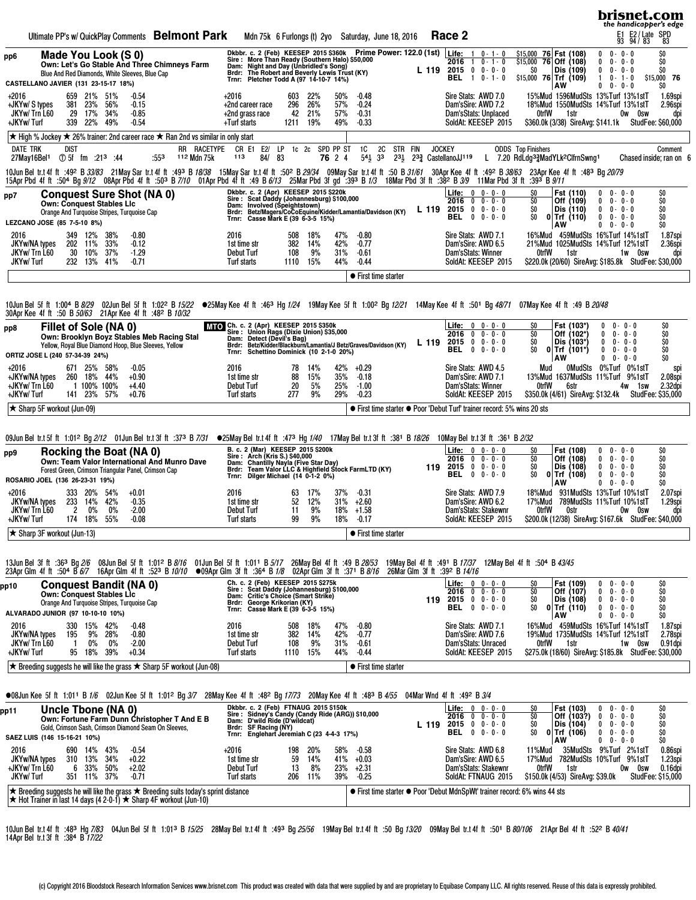|                                                                         |                             |                                                      |                                  |                                                                                 |                                                                                                                                                                                                                                                                                                                                                                                                               |                            |                                                                                                                                                                                                                                                     |                                                       |                           |                          |                          |                                                |                                                    |                                                                            |               |                                                                                                                          |             |                                                        |                    |                                                                                                                                       |                                             |                                                                         | brisnet.com<br>the handicapper's edge                                                 |
|-------------------------------------------------------------------------|-----------------------------|------------------------------------------------------|----------------------------------|---------------------------------------------------------------------------------|---------------------------------------------------------------------------------------------------------------------------------------------------------------------------------------------------------------------------------------------------------------------------------------------------------------------------------------------------------------------------------------------------------------|----------------------------|-----------------------------------------------------------------------------------------------------------------------------------------------------------------------------------------------------------------------------------------------------|-------------------------------------------------------|---------------------------|--------------------------|--------------------------|------------------------------------------------|----------------------------------------------------|----------------------------------------------------------------------------|---------------|--------------------------------------------------------------------------------------------------------------------------|-------------|--------------------------------------------------------|--------------------|---------------------------------------------------------------------------------------------------------------------------------------|---------------------------------------------|-------------------------------------------------------------------------|---------------------------------------------------------------------------------------|
|                                                                         |                             |                                                      |                                  |                                                                                 | Ultimate PP's w/ QuickPlay Comments Belmont Park                                                                                                                                                                                                                                                                                                                                                              |                            |                                                                                                                                                                                                                                                     |                                                       |                           |                          |                          |                                                | Mdn 75k 6 Furlongs (t) 2yo Saturday, June 18, 2016 |                                                                            | Race 2        |                                                                                                                          |             |                                                        |                    |                                                                                                                                       |                                             | E1 E2/Late SPD<br>93 94/83 83                                           |                                                                                       |
| pp6<br>CASTELLANO JAVIER (131 23-15-17 18%)                             |                             |                                                      | Made You Look (S 0)              | Blue And Red Diamonds, White Sleeves, Blue Cap                                  | Own: Let's Go Stable And Three Chimneys Farm                                                                                                                                                                                                                                                                                                                                                                  |                            | Dkbbr. c. 2 (Feb) KEESEP 2015 \$360k Prime Power: 122.0 (1st)<br>Sine: More Than Ready (Southern Halo) \$50,000<br>Dam: Night and Day (Unbridled's Song)<br>Brdr: The Robert and Beverly Lewis Trust (KY)<br>Trnr: Pletcher Todd A (97 14-10-7 14%) |                                                       |                           |                          |                          |                                                |                                                    | L 119                                                                      | 2016<br>BEL.  | <b>Life:</b> $1 \ 0 \cdot 1 \cdot 0$<br>$1 \t 0 - 1 - 0$<br>$2015$ 0 0 $0 - 0$<br>$\mathbf{1}$                           | $0 - 1 - 0$ | \$15,000 76 Fst (108)<br>$$15,000$ 76 Off (108)<br>SO. | AW                 | Dis (109)<br>$$15,000$ 76 Trf (109)                                                                                                   | $\mathbf{0}$<br>0<br>0<br>$\mathbf{1}$<br>0 | $0 - 0 - 0$<br>$0 - 0 - 0$<br>$0 - 0 - 0$<br>$0 - 1 - 0$<br>$0 - 0 - 0$ | \$0<br>\$O<br>\$O<br>\$15,000 76<br>\$O                                               |
| $+2016$<br>+JKYw/ S types<br>JKYw/Trn L60<br>+JKYw/Turf                 | 381<br>29<br>339            | 659 21% 51%<br>23%<br>17%<br>22%                     | 56%<br>34%<br>49%                | -0.54<br>$-0.15$<br>$-0.85$<br>$-0.54$                                          |                                                                                                                                                                                                                                                                                                                                                                                                               |                            | +2016<br>+2nd career race<br>+2nd grass race<br>+Turf starts                                                                                                                                                                                        |                                                       | 603<br>296<br>42<br>1211  | 22%<br>26%<br>21%<br>19% | 50%<br>57%<br>57%<br>49% | $-0.48$<br>$-0.24$<br>$-0.31$<br>$-0.33$       |                                                    |                                                                            |               | Sire Stats: AWD 7.0<br>Dam'sSire: AWD 7.2<br>Dam'sStats: Unplaced<br>SoldAt: KEESEP 2015                                 |             |                                                        | 0trfW              | 15%Mud 1596MudSts 13%Turf 13%1stT<br>18%Mud 1550MudSts 14%Turf 13%1stT<br>1str<br>\$360.0k (3/38) SireAvg: \$141.1k StudFee: \$60,000 |                                             | Ow Osw                                                                  | 1.69spi<br>2.96spi<br>dpi                                                             |
| <b>DATE TRK</b><br>27May16Bel <sup>1</sup> ① 5f fm :21 <sup>3</sup> :44 | <b>DIST</b>                 |                                                      |                                  |                                                                                 | ★ High % Jockey ★ 26% trainer: 2nd career race ★ Ran 2nd vs similar in only start<br>:553                                                                                                                                                                                                                                                                                                                     | RR RACETYPE<br>112 Mdn 75k | CR E1 E2/ LP 1c 2c SPD PP ST<br>113                                                                                                                                                                                                                 | 84/<br>83                                             |                           |                          | 76 2 4                   | <b>1C</b><br><b>2C</b><br>$54\frac{1}{2}$ 33   | STR FIN                                            | 231 232 CastellanoJJ119                                                    | <b>JOCKEY</b> |                                                                                                                          |             | <b>ODDS</b> Top Finishers                              |                    | L 7.20 RdLdg33MadYLk2ClfrnSwng1                                                                                                       |                                             |                                                                         | Comment<br>Chased inside; ran on 6                                                    |
|                                                                         |                             |                                                      |                                  |                                                                                 | 10Jun Beltr.t4fft :49º B33/83 21May Sartr.t4fft :49º B <i>18/38</i> 15May Sartr.t4fft :50º B <i>29/34</i> 09May Sartr.t4fft :50 B <i>31/61</i> 30AprKee 4fft :49º B <i>38/63</i> 23AprKee 4fft :49º B4 <i>8</i> B <sub>4</sub> 2079<br>15Apr Pbd 4f ft :504 Bg 9/12 08Apr Pbd 4f ft :503 B 7/10 01Apr Pbd 4f ft :49 B 6/13 25Mar Pbd 3f gd ':393 B 1/3 18Mar Pbd 3f ft :382 B 3/9 11Mar Pbd 3f ft :393 B 9/11 |                            |                                                                                                                                                                                                                                                     |                                                       |                           |                          |                          |                                                |                                                    |                                                                            |               |                                                                                                                          |             |                                                        |                    |                                                                                                                                       |                                             |                                                                         |                                                                                       |
| pp7                                                                     |                             |                                                      | <b>Own: Conquest Stables Lic</b> | <b>Conquest Sure Shot (NA 0)</b><br>Orange And Turquoise Stripes, Turquoise Cap |                                                                                                                                                                                                                                                                                                                                                                                                               |                            | Dkbbr. c. 2 (Apr) KEESEP 2015 \$220k<br>Sire: Scat Daddy (Johannesburg) \$100,000<br>Dam: Involved (Speightstown)<br>Brdr: Betz/Magers/CoCoEquine/Kidder/Lamantia/Davidson (KY)<br>Trnr: Casse Mark E (39 6-3-5 15%)                                |                                                       |                           |                          |                          |                                                |                                                    | L 119                                                                      |               | <b>Life:</b> $0 \t 0 \t 0 \t 0 \t 0$<br>$2016$ 0 0 - 0 - 0<br>$2015$ 0 0 $0$ 0 $0$<br><b>BEL</b> $0 \t 0 \t 0 \t 0 \t 0$ |             | SO.<br>SO.<br>SO.<br>SO.                               |                    | Fst (110)<br>Off (109)<br>Dis (110)<br>$0$ Trf (110)                                                                                  | 0<br>0<br>$\mathbf{0}$<br>$\mathbf 0$       | $0 - 0 - 0$<br>$0 - 0 - 0$<br>$0 - 0 - 0$<br>$0 - 0 - 0$                | ${}^{50}_{50}$<br>\$0<br>\$O                                                          |
| LEZCANO JOSE (85 7-5-10 8%)<br>2016<br>JKYw/NA types<br>JKYw/ Trn L60   | 30                          | 349 12%<br>202 11%<br>10%                            | 38%<br>33%<br>37%                | $-0.80$<br>$-0.12$<br>$-1.29$                                                   |                                                                                                                                                                                                                                                                                                                                                                                                               |                            | 2016<br>1st time str<br><b>Debut Turf</b>                                                                                                                                                                                                           |                                                       | 508<br>382<br>108         | 18%<br>14%<br>9%         | 47%<br>42%<br>31%        | $-0.80$<br>$-0.77$<br>$-0.61$                  |                                                    |                                                                            |               | Sire Stats: AWD 7.1<br>Dam'sSire: AWD 6.5<br>Dam'sStats: Winner                                                          |             |                                                        | <b>AW</b><br>0trfW | 16%Mud 459MudSts 16%Turf 14%1stT<br>21%Mud 1025MudSts 14%Turf 12%1stT<br>1str<br>\$220.0k (20/60) SireAvg: \$185.8k StudFee: \$30,000 | $0 \t 0 - 0 - 0$                            | 1w 0sw                                                                  | \$O<br>1.87spi<br>2.36spi<br>dpi                                                      |
| <b>JKYw/Turf</b>                                                        |                             | 232 13% 41%                                          |                                  | $-0.71$                                                                         |                                                                                                                                                                                                                                                                                                                                                                                                               |                            | Turf starts                                                                                                                                                                                                                                         |                                                       | 1110 15%                  |                          | 44%                      | $-0.44$<br>• First time starter                |                                                    |                                                                            |               | SoldAt: KEESEP 2015                                                                                                      |             |                                                        |                    |                                                                                                                                       |                                             |                                                                         |                                                                                       |
|                                                                         |                             |                                                      |                                  | 30Apr Kee 4f ft :50 B 50/63 21Apr Kee 4f ft :48 <sup>2</sup> B 10/32            | 10Jun Bel 5f ft 1:004 B <i>8/29</i> 02Jun Bel 5f ft 1:02 <sup>2</sup> B 1 <i>5/22</i> ●25May Kee 4f ft :46 <sup>3</sup> Hg 1/24 19May Kee 5f ft 1:00 <sup>2</sup> Bg 12/21 14May Kee 4f ft :501 Bg 48/71 07May Kee 4f ft :501 Bg 48/71 07May Kee 4f ft :49 B 20/48                                                                                                                                            |                            |                                                                                                                                                                                                                                                     |                                                       |                           |                          |                          |                                                |                                                    |                                                                            |               |                                                                                                                          |             |                                                        |                    |                                                                                                                                       |                                             |                                                                         |                                                                                       |
| pp8<br>ORTIZ JOSE L (240 57-34-39 24%)                                  |                             |                                                      | Fillet of Sole (NA 0)            | Yellow, Royal Blue Diamond Hoop, Blue Sleeves, Yellow                           | Own: Brooklyn Boyz Stables Meb Racing Stal                                                                                                                                                                                                                                                                                                                                                                    |                            | MTO Ch. c. 2 (Apr) KEESEP 2015 \$350k<br>Sire : Union Rags (Dixie Union) \$35,000<br>Dam: Detect (Devil's Bag)<br>Brdr: Betz/Kidder/Blackburn/Lamantia/J Betz/Graves/Davidson (KY)<br>Trnr: Schettino Dominick (10 2-1-0 20%)                       |                                                       |                           |                          |                          |                                                |                                                    | L 119                                                                      |               | <b>Life:</b> $0 \t 0 \t 0 \t 0 \t 0$<br>$2016$ 0 0 - 0 - 0<br>$2015$ 0 0 $0$ 0 $0$<br><b>BEL</b> 0 0 - 0 - 0             |             | SO.<br>SO.<br>SO.<br>\$0                               | <b>AW</b>          | Fst (103*)<br>Off (102*)<br>Dis (103*)<br>$0$ Trf (101*)                                                                              | 0<br>$\mathbf{0}$<br>0<br>0<br>$\mathbf{0}$ | $0 - 0 - 0$<br>$0 - 0 - 0$<br>$0 - 0 - 0$<br>$0 - 0 - 0$<br>$0 - 0 - 0$ | \$O<br>\$0<br>\$0<br>Ś0<br>\$O                                                        |
| +2016<br>+JKYw/NA types<br>+JKYw/ Trn L60<br>+JKYw/Turf                 | 260                         | 671 25% 58%<br>18% 44%<br>1 100% 100%<br>141 23% 57% |                                  | $-0.05$<br>$+0.90$<br>$+4.40$<br>$+0.76$                                        |                                                                                                                                                                                                                                                                                                                                                                                                               |                            | 2016<br>1st time str<br>Debut Turf<br>Turf starts                                                                                                                                                                                                   |                                                       | 78<br>88<br>20<br>277     | 14%<br>15%<br>5%<br>9%   | 42%<br>35%<br>25%<br>29% | $+0.29$<br>$-0.18$<br>$-1.00$<br>$-0.23$       |                                                    |                                                                            |               | Sire Stats: AWD 4.5<br>Dam'sSire: AWD 7.1<br>Dam'sStats: Winner<br>SoldAt: KEESEP 2015                                   |             |                                                        | Mud<br>0trfW       | 13%Mud 1637MudSts 11%Turf 9%1stT<br>6str<br>\$350.0k (4/61) SireAvg: \$132.4k StudFee: \$35,000                                       |                                             | 0MudSts 0%Turf 0%1stT<br>1sw<br>4w                                      | spi<br>2.08spi<br>2.32dpi                                                             |
| $\star$ Sharp 5F workout (Jun-09)                                       |                             |                                                      |                                  |                                                                                 |                                                                                                                                                                                                                                                                                                                                                                                                               |                            |                                                                                                                                                                                                                                                     |                                                       |                           |                          |                          |                                                |                                                    | • First time starter • Poor 'Debut Turf' trainer record: 5% wins 20 sts    |               |                                                                                                                          |             |                                                        |                    |                                                                                                                                       |                                             |                                                                         |                                                                                       |
|                                                                         |                             |                                                      |                                  |                                                                                 | 09% 09Jun Beltr.t5fft 1:012 Bg 2/12 01Jun Beltr.t3fft :373 B7/31 ●25May Beltr.t4fft :473 Hg 1/40 17May Beltr.t3fft :381 B 18/26 10May Beltr.t3fft :361 B 2/32                                                                                                                                                                                                                                                 |                            |                                                                                                                                                                                                                                                     |                                                       |                           |                          |                          |                                                |                                                    |                                                                            |               |                                                                                                                          |             |                                                        |                    |                                                                                                                                       |                                             |                                                                         |                                                                                       |
| pp9<br>ROSARIO JOEL (136 26-23-31 19%)                                  |                             |                                                      |                                  | Rocking the Boat (NA 0)<br>Forest Green, Crimson Triangular Panel, Crimson Cap  | Own: Team Valor International And Munro Dave                                                                                                                                                                                                                                                                                                                                                                  |                            | B. c. 2 (Mar) KEESEP 2015 \$200k<br>Sire: Arch (Kris S.) \$40,000<br>Dam: Chantilly Nayla (Five Star Day)<br>Brdr: Team Valor LLC`& Highfield Stock FarmLTD (KY)<br>Trnr:                                                                           | Dilger Michael (14 0-1-2 0%)                          |                           |                          |                          |                                                |                                                    | 119                                                                        |               | <b>Life:</b> $0 \t 0 \t 0 \t 0 \t 0$<br>$2016$ 0 0 - 0 - 0<br>$2015$ 0 0 - 0 - 0<br><b>BEL</b> $0 \t 0 \t 0 \t 0 \t 0$   |             | SO<br>SO.<br>SO.<br>SO.                                | AW                 | Fst (108)<br>Off (108)<br>Dis (108)<br>$0$ Trf $(108)$                                                                                | 0<br>0<br>$\mathbf{0}$<br>$\mathbf{0}$<br>0 | $0 - 0 - 0$<br>$0 - 0 - 0$<br>$0 - 0 - 0$<br>$0 - 0 - 0$<br>$0 - 0 - 0$ | \$O<br>\$0<br>\$0<br>\$0<br>\$O                                                       |
| $+2016$<br>JKYw/NA types<br>JKYw/ Trn L60<br>+JKYw/Turf                 | 2                           | 333 20% 54%<br>233 14% 42%<br>$0\%$<br>174 18% 55%   | 0%                               | $+0.01$<br>$-0.35$<br>$-2.00$<br>$-0.08$                                        |                                                                                                                                                                                                                                                                                                                                                                                                               |                            | 2016<br>1st time str<br><b>Debut Turf</b><br>Turf starts                                                                                                                                                                                            |                                                       | 63<br>52<br>11<br>99      | 17%<br>12%<br>9%<br>9%   | 37%<br>31%<br>18%        | $-0.31$<br>$+2.60$<br>$18\% + 1.58$<br>$-0.17$ |                                                    |                                                                            |               | Sire Stats: AWD 7.9<br>Dam'sSire: AWD 6.2<br>Dam'sStats: Stakewnr<br>Soldat: KEESEP 2015                                 |             |                                                        | 17%Mud<br>0trfW    | 18%Mud 931MudSts 13%Turf 10%1stT<br>789MudSts 11%Turf 10%1stT<br>0str                                                                 |                                             | Ow Osw                                                                  | 2.07spi<br>1.29spi<br>dpi<br>\$200.0k (12/38) SireAvg: \$167.6k StudFee: \$40,000     |
| $\star$ Sharp 3F workout (Jun-13)                                       |                             |                                                      |                                  |                                                                                 |                                                                                                                                                                                                                                                                                                                                                                                                               |                            |                                                                                                                                                                                                                                                     |                                                       |                           |                          |                          | • First time starter                           |                                                    |                                                                            |               |                                                                                                                          |             |                                                        |                    |                                                                                                                                       |                                             |                                                                         |                                                                                       |
|                                                                         |                             |                                                      |                                  | 23Apr Glm 4f ft :504 B 6/7 16Apr Glm 4f ft :523 B 10/10                         | 13Jun Bel 3f ft :363 Bg 2/6 08Jun Bel 5f ft 1:012 B 8/16 01Jun Bel 5f ft 1:011 B 5/17 26May Bel 4f ft :49 B 28/53 19May Bel 4f ft :491 B 17/37 12May Bel 4f ft :504 B 43/45                                                                                                                                                                                                                                   |                            | ●09Apr Glm 3f ft :364 B 1/8 02Apr Glm 3f ft :371 B 8/16 26Mar Glm 3f ft :392 B 14/16                                                                                                                                                                |                                                       |                           |                          |                          |                                                |                                                    |                                                                            |               |                                                                                                                          |             |                                                        |                    |                                                                                                                                       |                                             |                                                                         |                                                                                       |
| pp10<br>ALVARADO JUNIOR (97 10-10-10 10%)                               |                             |                                                      | <b>Own: Conquest Stables Lic</b> | <b>Conquest Bandit (NA 0)</b><br>Orange And Turquoise Stripes, Turquoise Cap    |                                                                                                                                                                                                                                                                                                                                                                                                               |                            | Ch. c. 2 (Feb) KEESEP 2015 \$275k<br>Sire: Scat Daddy (Johannesburg) \$100,000<br>Dam: Critic's Choice (Smart Strike)<br>Brdr: George Krikorian (KY)<br>Trnr: Casse Mark E (39 6-3-5 15%)                                                           |                                                       |                           |                          |                          |                                                |                                                    | 119                                                                        |               | <b>Life:</b> $0 \t 0 \t 0 \t 0 \t 0$<br>$2016$ 0 0 - 0 - 0<br>$2015$ 0 0 - 0 - 0<br><b>BEL</b> 0 0 - 0 - 0               |             | SO.<br>SO.<br>SO.<br>SO.                               | AW                 | Fst (109)<br>Off (107)<br>Dis (108)<br>$0$ Trf $(110)$                                                                                | 0<br>0<br>$\mathbf{0}$<br>0<br>0            | $0 - 0 - 0$<br>$0 - 0 - 0$<br>$0 - 0 - 0$<br>$0 - 0 - 0$<br>$0 - 0 - 0$ | \$0<br>\$0<br>\$0<br>\$0<br>\$O                                                       |
| 2016<br>JKYw/NA types<br>JKYw/Trn L60<br>+JKYw/Turf                     | 195<br>$\overline{1}$<br>95 | 330 15%<br>9%<br>$0\%$<br>18%                        | 42%<br>28%<br>0%<br>39%          | $-0.48$<br>$-0.80$<br>$-2.00$<br>$+0.34$                                        |                                                                                                                                                                                                                                                                                                                                                                                                               |                            | 2016<br>1st time str<br><b>Debut Turf</b><br>Turf starts                                                                                                                                                                                            |                                                       | 508<br>382<br>108<br>1110 | 18%<br>14%<br>9%<br>15%  | 47%<br>42%<br>31%<br>44% | $-0.80$<br>$-0.77$<br>$-0.61$<br>$-0.44$       |                                                    |                                                                            |               | Sire Stats: AWD 7.1<br>Dam'sSire: AWD 7.6<br>Dam'sStats: Unraced<br>SoldAt: KEESEP 2015                                  |             |                                                        | 0trfW              | 16%Mud 459MudSts 16%Turf 14%1stT<br>19%Mud 1735MudSts 14%Turf 12%1stT<br>1str                                                         |                                             | 1w Osw                                                                  | 1.87spi<br>2.78spi<br>0.91dpi<br>\$275.0k (18/60) SireAvg: \$185.8k StudFee: \$30,000 |
|                                                                         |                             |                                                      |                                  |                                                                                 | ★ Breeding suggests he will like the grass ★ Sharp 5F workout (Jun-08)                                                                                                                                                                                                                                                                                                                                        |                            |                                                                                                                                                                                                                                                     |                                                       |                           |                          |                          | • First time starter                           |                                                    |                                                                            |               |                                                                                                                          |             |                                                        |                    |                                                                                                                                       |                                             |                                                                         |                                                                                       |
|                                                                         |                             |                                                      |                                  |                                                                                 | ●08Jun Kee 5f ft 1:011 B 1/6 02Jun Kee 5f ft 1:012 Bg 3/7 28May Kee 4f ft :482 Bg 17/73 20May Kee 4f ft :483 B 4/55 04Mar Wnd 4f ft :492 B 3/4                                                                                                                                                                                                                                                                |                            |                                                                                                                                                                                                                                                     |                                                       |                           |                          |                          |                                                |                                                    |                                                                            |               |                                                                                                                          |             |                                                        |                    |                                                                                                                                       |                                             |                                                                         |                                                                                       |
| pp11                                                                    |                             |                                                      | Uncle Tbone (NA 0)               |                                                                                 |                                                                                                                                                                                                                                                                                                                                                                                                               |                            | Dkbbr. c. 2 (Feb) FTNAUG 2015 \$150k                                                                                                                                                                                                                |                                                       |                           |                          |                          |                                                |                                                    |                                                                            |               | <b>Life:</b> $0 \t 0 \t 0 \t 0 \t 0$<br>$2016$ 0 0 - 0 - 0                                                               |             | \$O<br>SO.                                             |                    | Fst (103)<br>Off (103?)                                                                                                               | 0<br>0                                      | $0 - 0 - 0$<br>$0 - 0 - 0$                                              | \$0                                                                                   |
| SAEZ LUIS (146 15-16-21 10%)                                            |                             |                                                      |                                  | Gold, Crimson Sash, Crimson Diamond Seam On Sleeves,                            | Own: Fortune Farm Dunn Christopher T And E B                                                                                                                                                                                                                                                                                                                                                                  |                            | Sire : Sidney's Candy (Candy Ride (ARG)) \$10,000<br>Dam: D'wild Ride (D'wildcat)<br>Brdr:<br>Trnr:                                                                                                                                                 | SF Racing (NY)<br>Englehart Jeremiah C (23 4-4-3 17%) |                           |                          |                          |                                                |                                                    | L 119                                                                      |               | $2015$ 0 0 - 0 - 0<br><b>BEL</b> 0 0 - 0 - 0                                                                             |             | SO.<br>SO.                                             | AW                 | Dis (104)<br>$0$   Trf (106)                                                                                                          | 0<br>$\mathbf 0$<br>$0 0 - 0 - 0$           | $0 - 0 - 0$<br>$0 - 0 - 0$                                              | \$0<br>\$0<br>\$0<br>\$0                                                              |
| 2016<br>JKYw/NA types<br>+JKYw/ Trn L60<br>JKYw/Turf                    | 6                           | 690 14% 43%<br>310 13%<br>33%<br>351 11%             | 34%<br>50%<br>37%                | $-0.54$<br>$+0.22$<br>$+2.02$<br>$-0.71$                                        |                                                                                                                                                                                                                                                                                                                                                                                                               |                            | +2016<br>1st time str<br><b>Debut Turf</b><br>Turf starts                                                                                                                                                                                           |                                                       | 198<br>59<br>13<br>206    | 20%<br>14%<br>8%<br>11%  | 58%<br>41%<br>23%<br>39% | $-0.58$<br>$+0.03$<br>$+2.31$<br>$-0.25$       |                                                    |                                                                            |               | Sire Stats: AWD 6.8<br>Dam'sSire: AWD 6.5<br>Dam'sStats: Stakewnr<br>SoldAt: FTNAUG 2015                                 |             |                                                        | 11%Mud<br>0trfW    | 35MudSts 9%Turf 2%1stT<br>17%Mud 782MudSts 10%Turf 9%1stT<br>1str<br>\$150.0k (4/53) SireAvg: \$39.0k                                 |                                             | Ow Osw                                                                  | 0.86spi<br>1.23spi<br>0.16dpi<br><b>StudFee: \$15,000</b>                             |
|                                                                         |                             |                                                      |                                  |                                                                                 | $\star$ Breeding suggests he will like the grass $\star$ Breeding suits today's sprint distance<br>$\star$ Hot Trainer in last 14 days (4 2-0-1) $\star$ Sharp 4F workout (Jun-10)                                                                                                                                                                                                                            |                            |                                                                                                                                                                                                                                                     |                                                       |                           |                          |                          |                                                |                                                    | • First time starter • Poor 'Debut MdnSpWt' trainer record: 6% wins 44 sts |               |                                                                                                                          |             |                                                        |                    |                                                                                                                                       |                                             |                                                                         |                                                                                       |
|                                                                         |                             |                                                      |                                  |                                                                                 |                                                                                                                                                                                                                                                                                                                                                                                                               |                            |                                                                                                                                                                                                                                                     |                                                       |                           |                          |                          |                                                |                                                    |                                                                            |               |                                                                                                                          |             |                                                        |                    |                                                                                                                                       |                                             |                                                                         |                                                                                       |

10JunBeltr.t4fft :48<sup>3</sup> Hg*7/83* 04JunBel5fft 1:01<sup>3</sup> B*15/25* 28MayBeltr.t4fft :49<sup>3</sup> Bg*25/56* 19MayBeltr.t4fft :50 Bg*13/20* 09MayBeltr.t4fft :50<sup>1</sup> B*80/106* 21AprBel4fft :52º B*40/41*<br>14AprBeltr.t3fft :38ª B*17/22*